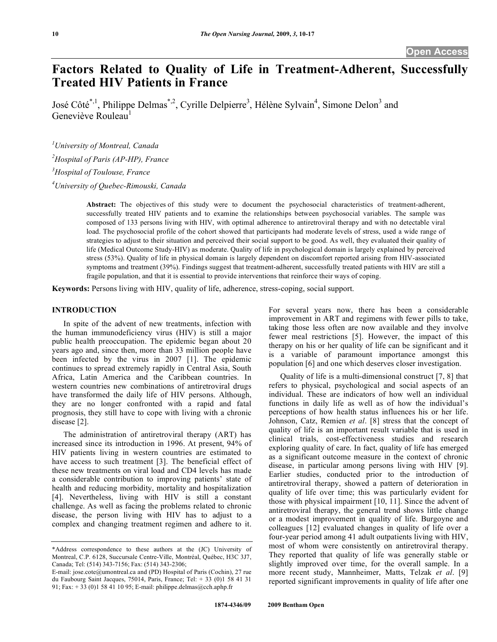# **Factors Related to Quality of Life in Treatment-Adherent, Successfully Treated HIV Patients in France**

José Côté<sup>\*,1</sup>, Philippe Delmas<sup>\*,2</sup>, Cyrille Delpierre<sup>3</sup>, Hélène Sylvain<sup>4</sup>, Simone Delon<sup>3</sup> and Geneviève Rouleau<sup>1</sup>

 *University of Montreal, Canada Hospital of Paris (AP-HP), France Hospital of Toulouse, France University of Quebec-Rimouski, Canada* 

> **Abstract:** The objectives of this study were to document the psychosocial characteristics of treatment-adherent, successfully treated HIV patients and to examine the relationships between psychosocial variables. The sample was composed of 133 persons living with HIV, with optimal adherence to antiretroviral therapy and with no detectable viral load. The psychosocial profile of the cohort showed that participants had moderate levels of stress, used a wide range of strategies to adjust to their situation and perceived their social support to be good. As well, they evaluated their quality of life (Medical Outcome Study-HIV) as moderate. Quality of life in psychological domain is largely explained by perceived stress (53%). Quality of life in physical domain is largely dependent on discomfort reported arising from HIV-associated symptoms and treatment (39%). Findings suggest that treatment-adherent, successfully treated patients with HIV are still a fragile population, and that it is essential to provide interventions that reinforce their ways of coping.

**Keywords:** Persons living with HIV, quality of life, adherence, stress-coping, social support.

#### **INTRODUCTION**

 In spite of the advent of new treatments, infection with the human immunodeficiency virus (HIV) is still a major public health preoccupation. The epidemic began about 20 years ago and, since then, more than 33 million people have been infected by the virus in 2007 [1]. The epidemic continues to spread extremely rapidly in Central Asia, South Africa, Latin America and the Caribbean countries. In western countries new combinations of antiretroviral drugs have transformed the daily life of HIV persons. Although, they are no longer confronted with a rapid and fatal prognosis, they still have to cope with living with a chronic disease [2].

 The administration of antiretroviral therapy (ART) has increased since its introduction in 1996. At present, 94% of HIV patients living in western countries are estimated to have access to such treatment [3]. The beneficial effect of these new treatments on viral load and CD4 levels has made a considerable contribution to improving patients' state of health and reducing morbidity, mortality and hospitalization [4]. Nevertheless, living with HIV is still a constant challenge. As well as facing the problems related to chronic disease, the person living with HIV has to adjust to a complex and changing treatment regimen and adhere to it.

For several years now, there has been a considerable improvement in ART and regimens with fewer pills to take, taking those less often are now available and they involve fewer meal restrictions [5]. However, the impact of this therapy on his or her quality of life can be significant and it is a variable of paramount importance amongst this population [6] and one which deserves closer investigation.

 Quality of life is a multi-dimensional construct [7, 8] that refers to physical, psychological and social aspects of an individual. These are indicators of how well an individual functions in daily life as well as of how the individual's perceptions of how health status influences his or her life. Johnson, Catz, Remien *et al*. [8] stress that the concept of quality of life is an important result variable that is used in clinical trials, cost-effectiveness studies and research exploring quality of care. In fact, quality of life has emerged as a significant outcome measure in the context of chronic disease, in particular among persons living with HIV [9]. Earlier studies, conducted prior to the introduction of antiretroviral therapy, showed a pattern of deterioration in quality of life over time; this was particularly evident for those with physical impairment [10, 11]. Since the advent of antiretroviral therapy, the general trend shows little change or a modest improvement in quality of life. Burgoyne and colleagues [12] evaluated changes in quality of life over a four-year period among 41 adult outpatients living with HIV, most of whom were consistently on antiretroviral therapy. They reported that quality of life was generally stable or slightly improved over time, for the overall sample. In a more recent study, Mannheimer, Matts, Telzak *et al*. [9] reported significant improvements in quality of life after one

<sup>\*</sup>Address correspondence to these authors at the (JC) University of Montreal, C.P. 6128, Succursale Centre-Ville, Montréal, Québec, H3C 3J7, Canada; Tel: (514) 343-7156; Fax: (514) 343-2306;

E-mail: jose.cote@umontreal.ca and (PD) Hospital of Paris (Cochin), 27 rue du Faubourg Saint Jacques, 75014, Paris, France; Tel: + 33 (0)1 58 41 31 91; Fax: + 33 (0)1 58 41 10 95; E-mail: philippe.delmas@cch.aphp.fr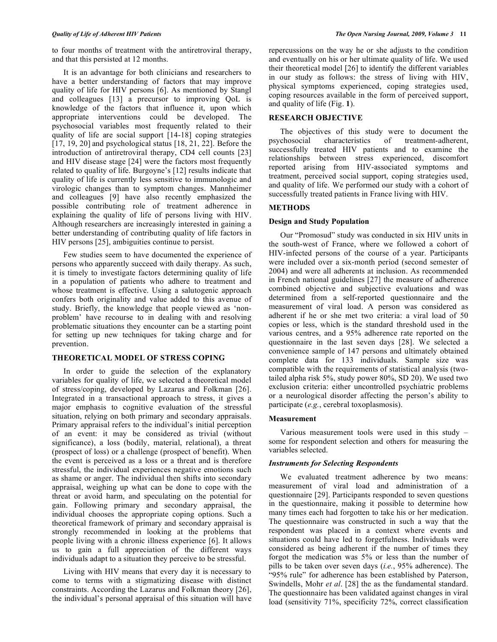to four months of treatment with the antiretroviral therapy, and that this persisted at 12 months.

 It is an advantage for both clinicians and researchers to have a better understanding of factors that may improve quality of life for HIV persons [6]. As mentioned by Stangl and colleagues [13] a precursor to improving QoL is knowledge of the factors that influence it, upon which appropriate interventions could be developed. The psychosocial variables most frequently related to their quality of life are social support [14-18] coping strategies [17, 19, 20] and psychological status [18, 21, 22]. Before the introduction of antiretroviral therapy, CD4 cell counts [23] and HIV disease stage [24] were the factors most frequently related to quality of life. Burgoyne's [12] results indicate that quality of life is currently less sensitive to immunologic and virologic changes than to symptom changes. Mannheimer and colleagues [9] have also recently emphasized the possible contributing role of treatment adherence in explaining the quality of life of persons living with HIV. Although researchers are increasingly interested in gaining a better understanding of contributing quality of life factors in HIV persons [25], ambiguities continue to persist.

 Few studies seem to have documented the experience of persons who apparently succeed with daily therapy. As such, it is timely to investigate factors determining quality of life in a population of patients who adhere to treatment and whose treatment is effective. Using a salutogenic approach confers both originality and value added to this avenue of study. Briefly, the knowledge that people viewed as 'nonproblem' have recourse to in dealing with and resolving problematic situations they encounter can be a starting point for setting up new techniques for taking charge and for prevention.

# **THEORETICAL MODEL OF STRESS COPING**

 In order to guide the selection of the explanatory variables for quality of life, we selected a theoretical model of stress/coping, developed by Lazarus and Folkman [26]. Integrated in a transactional approach to stress, it gives a major emphasis to cognitive evaluation of the stressful situation, relying on both primary and secondary appraisals. Primary appraisal refers to the individual's initial perception of an event: it may be considered as trivial (without significance), a loss (bodily, material, relational), a threat (prospect of loss) or a challenge (prospect of benefit). When the event is perceived as a loss or a threat and is therefore stressful, the individual experiences negative emotions such as shame or anger. The individual then shifts into secondary appraisal, weighing up what can be done to cope with the threat or avoid harm, and speculating on the potential for gain. Following primary and secondary appraisal, the individual chooses the appropriate coping options. Such a theoretical framework of primary and secondary appraisal is strongly recommended in looking at the problems that people living with a chronic illness experience [6]. It allows us to gain a full appreciation of the different ways individuals adapt to a situation they perceive to be stressful.

 Living with HIV means that every day it is necessary to come to terms with a stigmatizing disease with distinct constraints. According the Lazarus and Folkman theory [26], the individual's personal appraisal of this situation will have

repercussions on the way he or she adjusts to the condition and eventually on his or her ultimate quality of life. We used their theoretical model [26] to identify the different variables in our study as follows: the stress of living with HIV, physical symptoms experienced, coping strategies used, coping resources available in the form of perceived support, and quality of life (Fig. **1**).

# **RESEARCH OBJECTIVE**

 The objectives of this study were to document the psychosocial characteristics of treatment-adherent, successfully treated HIV patients and to examine the relationships between stress experienced, discomfort reported arising from HIV-associated symptoms and treatment, perceived social support, coping strategies used, and quality of life. We performed our study with a cohort of successfully treated patients in France living with HIV.

### **METHODS**

### **Design and Study Population**

 Our "Promosud" study was conducted in six HIV units in the south-west of France, where we followed a cohort of HIV-infected persons of the course of a year. Participants were included over a six-month period (second semester of 2004) and were all adherents at inclusion. As recommended in French national guidelines [27] the measure of adherence combined objective and subjective evaluations and was determined from a self-reported questionnaire and the measurement of viral load. A person was considered as adherent if he or she met two criteria: a viral load of 50 copies or less, which is the standard threshold used in the various centres, and a 95% adherence rate reported on the questionnaire in the last seven days [28]. We selected a convenience sample of 147 persons and ultimately obtained complete data for 133 individuals. Sample size was compatible with the requirements of statistical analysis (twotailed alpha risk 5%, study power 80%, SD 20). We used two exclusion criteria: either uncontrolled psychiatric problems or a neurological disorder affecting the person's ability to participate (*e.g.*, cerebral toxoplasmosis).

#### **Measurement**

 Various measurement tools were used in this study – some for respondent selection and others for measuring the variables selected.

### *Instruments for Selecting Respondents*

 We evaluated treatment adherence by two means: measurement of viral load and administration of a questionnaire [29]. Participants responded to seven questions in the questionnaire, making it possible to determine how many times each had forgotten to take his or her medication. The questionnaire was constructed in such a way that the respondent was placed in a context where events and situations could have led to forgetfulness. Individuals were considered as being adherent if the number of times they forgot the medication was 5% or less than the number of pills to be taken over seven days (*i.e.*, 95% adherence). The "95% rule" for adherence has been established by Paterson, Swindells, Mohr *et al*. [28] the as the fundamental standard. The questionnaire has been validated against changes in viral load (sensitivity 71%, specificity 72%, correct classification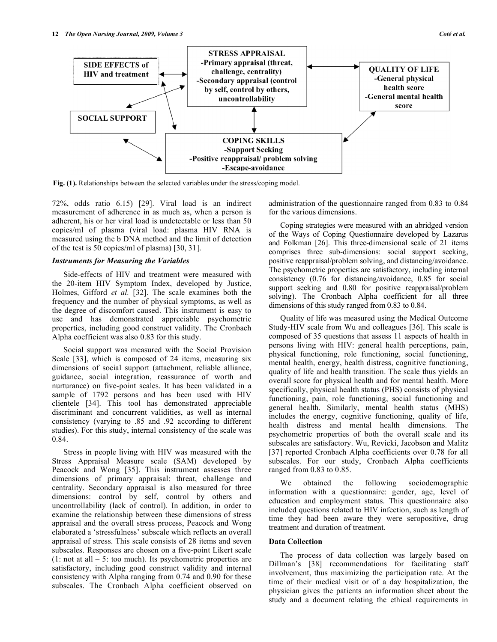

Fig. (1). Relationships between the selected variables under the stress/coping model.

72%, odds ratio 6.15) [29]. Viral load is an indirect measurement of adherence in as much as, when a person is adherent, his or her viral load is undetectable or less than 50 copies/ml of plasma (viral load: plasma HIV RNA is measured using the b DNA method and the limit of detection of the test is 50 copies/ml of plasma) [30, 31].

### *Instruments for Measuring the Variables*

 Side-effects of HIV and treatment were measured with the 20-item HIV Symptom Index, developed by Justice, Holmes, Gifford *et al.* [32]. The scale examines both the frequency and the number of physical symptoms, as well as the degree of discomfort caused. This instrument is easy to use and has demonstrated appreciable psychometric properties, including good construct validity. The Cronbach Alpha coefficient was also 0.83 for this study.

 Social support was measured with the Social Provision Scale [33], which is composed of 24 items, measuring six dimensions of social support (attachment, reliable alliance, guidance, social integration, reassurance of worth and nurturance) on five-point scales. It has been validated in a sample of 1792 persons and has been used with HIV clientele [34]. This tool has demonstrated appreciable discriminant and concurrent validities, as well as internal consistency (varying to .85 and .92 according to different studies). For this study, internal consistency of the scale was 0.84.

 Stress in people living with HIV was measured with the Stress Appraisal Measure scale (SAM) developed by Peacock and Wong [35]. This instrument assesses three dimensions of primary appraisal: threat, challenge and centrality. Secondary appraisal is also measured for three dimensions: control by self, control by others and uncontrollability (lack of control). In addition, in order to examine the relationship between these dimensions of stress appraisal and the overall stress process, Peacock and Wong elaborated a 'stressfulness' subscale which reflects an overall appraisal of stress. This scale consists of 28 items and seven subscales. Responses are chosen on a five-point Likert scale  $(1: not at all - 5: too much)$ . Its psychometric properties are satisfactory, including good construct validity and internal consistency with Alpha ranging from 0.74 and 0.90 for these subscales. The Cronbach Alpha coefficient observed on

administration of the questionnaire ranged from 0.83 to 0.84 for the various dimensions.

 Coping strategies were measured with an abridged version of the Ways of Coping Questionnaire developed by Lazarus and Folkman [26]. This three-dimensional scale of 21 items comprises three sub-dimensions: social support seeking, positive reappraisal/problem solving, and distancing/avoidance. The psychometric properties are satisfactory, including internal consistency (0.76 for distancing/avoidance, 0.85 for social support seeking and 0.80 for positive reappraisal/problem solving). The Cronbach Alpha coefficient for all three dimensions of this study ranged from 0.83 to 0.84.

 Quality of life was measured using the Medical Outcome Study-HIV scale from Wu and colleagues [36]. This scale is composed of 35 questions that assess 11 aspects of health in persons living with HIV: general health perceptions, pain, physical functioning, role functioning, social functioning, mental health, energy, health distress, cognitive functioning, quality of life and health transition. The scale thus yields an overall score for physical health and for mental health. More specifically, physical health status (PHS) consists of physical functioning, pain, role functioning, social functioning and general health. Similarly, mental health status (MHS) includes the energy, cognitive functioning, quality of life, health distress and mental health dimensions. The psychometric properties of both the overall scale and its subscales are satisfactory. Wu, Revicki, Jacobson and Malitz [37] reported Cronbach Alpha coefficients over 0.78 for all subscales. For our study, Cronbach Alpha coefficients ranged from 0.83 to 0.85.

 We obtained the following sociodemographic information with a questionnaire: gender, age, level of education and employment status. This questionnaire also included questions related to HIV infection, such as length of time they had been aware they were seropositive, drug treatment and duration of treatment.

#### **Data Collection**

 The process of data collection was largely based on Dillman's [38] recommendations for facilitating staff involvement, thus maximizing the participation rate. At the time of their medical visit or of a day hospitalization, the physician gives the patients an information sheet about the study and a document relating the ethical requirements in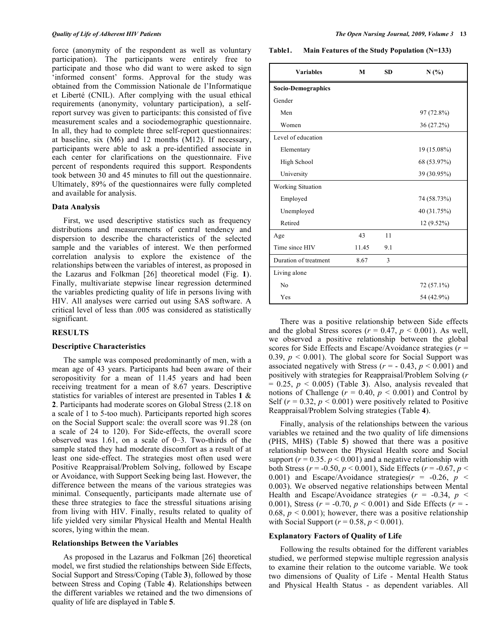force (anonymity of the respondent as well as voluntary participation). The participants were entirely free to participate and those who did want to were asked to sign 'informed consent' forms. Approval for the study was obtained from the Commission Nationale de l'Informatique et Liberté (CNIL). After complying with the usual ethical requirements (anonymity, voluntary participation), a selfreport survey was given to participants: this consisted of five measurement scales and a sociodemographic questionnaire. In all, they had to complete three self-report questionnaires: at baseline, six (M6) and 12 months (M12). If necessary, participants were able to ask a pre-identified associate in each center for clarifications on the questionnaire. Five percent of respondents required this support. Respondents took between 30 and 45 minutes to fill out the questionnaire. Ultimately, 89% of the questionnaires were fully completed and available for analysis.

#### **Data Analysis**

 First, we used descriptive statistics such as frequency distributions and measurements of central tendency and dispersion to describe the characteristics of the selected sample and the variables of interest. We then performed correlation analysis to explore the existence of the relationships between the variables of interest, as proposed in the Lazarus and Folkman [26] theoretical model (Fig. **1**). Finally, multivariate stepwise linear regression determined the variables predicting quality of life in persons living with HIV. All analyses were carried out using SAS software. A critical level of less than .005 was considered as statistically significant.

### **RESULTS**

#### **Descriptive Characteristics**

 The sample was composed predominantly of men, with a mean age of 43 years. Participants had been aware of their seropositivity for a mean of 11.45 years and had been receiving treatment for a mean of 8.67 years. Descriptive statistics for variables of interest are presented in Tables **1** & **2**. Participants had moderate scores on Global Stress (2.18 on a scale of 1 to 5-too much). Participants reported high scores on the Social Support scale: the overall score was 91.28 (on a scale of 24 to 120). For Side-effects, the overall score observed was 1.61, on a scale of 0–3. Two-thirds of the sample stated they had moderate discomfort as a result of at least one side-effect. The strategies most often used were Positive Reappraisal/Problem Solving, followed by Escape or Avoidance, with Support Seeking being last. However, the difference between the means of the various strategies was minimal. Consequently, participants made alternate use of these three strategies to face the stressful situations arising from living with HIV. Finally, results related to quality of life yielded very similar Physical Health and Mental Health scores, lying within the mean.

## **Relationships Between the Variables**

 As proposed in the Lazarus and Folkman [26] theoretical model, we first studied the relationships between Side Effects, Social Support and Stress/Coping (Table **3**), followed by those between Stress and Coping (Table **4**). Relationships between the different variables we retained and the two dimensions of quality of life are displayed in Table **5**.

**Table1. Main Features of the Study Population (N=133)** 

| <b>Variables</b>         | M     | <b>SD</b> | N(%)        |
|--------------------------|-------|-----------|-------------|
| Socio-Demographics       |       |           |             |
| Gender                   |       |           |             |
| Men                      |       |           | 97 (72.8%)  |
| Women                    |       |           | 36 (27.2%)  |
| Level of education       |       |           |             |
| Elementary               |       |           | 19 (15.08%) |
| High School              |       |           | 68 (53.97%) |
| University               |       |           | 39 (30.95%) |
| <b>Working Situation</b> |       |           |             |
| Employed                 |       |           | 74 (58.73%) |
| Unemployed               |       |           | 40 (31.75%) |
| Retired                  |       |           | 12 (9.52%)  |
| Age                      | 43    | 11        |             |
| Time since HIV           | 11.45 | 9.1       |             |
| Duration of treatment    | 8.67  | 3         |             |
| Living alone             |       |           |             |
| No                       |       |           | 72 (57.1%)  |
| Yes                      |       |           | 54 (42.9%)  |

 There was a positive relationship between Side effects and the global Stress scores ( $r = 0.47$ ,  $p < 0.001$ ). As well, we observed a positive relationship between the global scores for Side Effects and Escape/Avoidance strategies (*r* = 0.39,  $p < 0.001$ ). The global score for Social Support was associated negatively with Stress ( $r = -0.43$ ,  $p < 0.001$ ) and positively with strategies for Reappraisal/Problem Solving (*r*  $= 0.25$ ,  $p < 0.005$ ) (Table 3). Also, analysis revealed that notions of Challenge ( $r = 0.40$ ,  $p < 0.001$ ) and Control by Self  $(r = 0.32, p \le 0.001)$  were positively related to Positive Reappraisal/Problem Solving strategies (Table **4**).

 Finally, analysis of the relationships between the various variables we retained and the two quality of life dimensions (PHS, MHS) (Table **5**) showed that there was a positive relationship between the Physical Health score and Social support ( $r = 0.35$ .  $p < 0.001$ ) and a negative relationship with both Stress (*r* = -0.50, *p* < 0.001), Side Effects (*r* = -0.67, *p* < 0.001) and Escape/Avoidance strategies( $r = -0.26$ ,  $p <$ 0.003). We observed negative relationships between Mental Health and Escape/Avoidance strategies  $(r = -0.34, p <$ 0.001), Stress ( $r = -0.70$ ,  $p < 0.001$ ) and Side Effects ( $r = -$ 0.68,  $p < 0.001$ ); however, there was a positive relationship with Social Support ( $r = 0.58$ ,  $p < 0.001$ ).

#### **Explanatory Factors of Quality of Life**

 Following the results obtained for the different variables studied, we performed stepwise multiple regression analysis to examine their relation to the outcome variable. We took two dimensions of Quality of Life - Mental Health Status and Physical Health Status - as dependent variables. All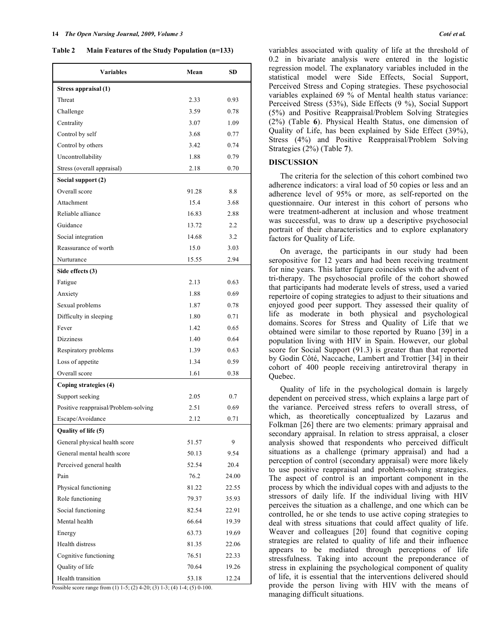**Table 2 Main Features of the Study Population (n=133)** 

| <b>Variables</b>                     | Mean  | SD    |
|--------------------------------------|-------|-------|
| Stress appraisal (1)                 |       |       |
| Threat                               | 2.33  | 0.93  |
| Challenge                            | 3.59  | 0.78  |
| Centrality                           | 3.07  | 1.09  |
| Control by self                      | 3.68  | 0.77  |
| Control by others                    | 3.42  | 0.74  |
| Uncontrollability                    | 1.88  | 0.79  |
| Stress (overall appraisal)           | 2.18  | 0.70  |
| Social support (2)                   |       |       |
| Overall score                        | 91.28 | 8.8   |
| Attachment                           | 15.4  | 3.68  |
| Reliable alliance                    | 16.83 | 2.88  |
| Guidance                             | 13.72 | 2.2   |
| Social integration                   | 14.68 | 3.2   |
| Reassurance of worth                 | 15.0  | 3.03  |
| Nurturance                           | 15.55 | 2.94  |
| Side effects (3)                     |       |       |
| Fatigue                              | 2.13  | 0.63  |
| Anxiety                              | 1.88  | 0.69  |
| Sexual problems                      | 1.87  | 0.78  |
| Difficulty in sleeping               | 1.80  | 0.71  |
| Fever                                | 1.42  | 0.65  |
| <b>Dizziness</b>                     | 1.40  | 0.64  |
| Respiratory problems                 | 1.39  | 0.63  |
| Loss of appetite                     | 1.34  | 0.59  |
| Overall score                        | 1.61  | 0.38  |
| Coping strategies (4)                |       |       |
| Support seeking                      | 2.05  | 0.7   |
| Positive reappraisal/Problem-solving | 2.51  | 0.69  |
| Escape/Avoidance                     | 2.12  | 0.71  |
| Quality of life (5)                  |       |       |
| General physical health score        | 51.57 | 9     |
| General mental health score          | 50.13 | 9.54  |
| Perceived general health             | 52.54 | 20.4  |
| Pain                                 | 76.2  | 24.00 |
| Physical functioning                 | 81.22 | 22.55 |
| Role functioning                     | 79.37 | 35.93 |
| Social functioning                   | 82.54 | 22.91 |
| Mental health                        | 66.64 | 19.39 |
| Energy                               | 63.73 | 19.69 |
| Health distress                      | 81.35 | 22.06 |
| Cognitive functioning                | 76.51 | 22.33 |
| Quality of life                      | 70.64 | 19.26 |
| Health transition                    | 53.18 | 12.24 |

Possible score range from (1) 1-5; (2) 4-20; (3) 1-3; (4) 1-4; (5) 0-100.

variables associated with quality of life at the threshold of 0.2 in bivariate analysis were entered in the logistic regression model. The explanatory variables included in the statistical model were Side Effects, Social Support, Perceived Stress and Coping strategies. These psychosocial variables explained 69 % of Mental health status variance: Perceived Stress (53%), Side Effects (9 %), Social Support (5%) and Positive Reappraisal/Problem Solving Strategies (2%) (Table **6**). Physical Health Status, one dimension of Quality of Life, has been explained by Side Effect (39%), Stress (4%) and Positive Reappraisal/Problem Solving Strategies (2%) (Table **7**).

#### **DISCUSSION**

 The criteria for the selection of this cohort combined two adherence indicators: a viral load of 50 copies or less and an adherence level of 95% or more, as self-reported on the questionnaire. Our interest in this cohort of persons who were treatment-adherent at inclusion and whose treatment was successful, was to draw up a descriptive psychosocial portrait of their characteristics and to explore explanatory factors for Quality of Life.

 On average, the participants in our study had been seropositive for 12 years and had been receiving treatment for nine years. This latter figure coincides with the advent of tri-therapy. The psychosocial profile of the cohort showed that participants had moderate levels of stress, used a varied repertoire of coping strategies to adjust to their situations and enjoyed good peer support. They assessed their quality of life as moderate in both physical and psychological domains. Scores for Stress and Quality of Life that we obtained were similar to those reported by Ruano [39] in a population living with HIV in Spain. However, our global score for Social Support (91.3) is greater than that reported by Godin Côté, Naccache, Lambert and Trottier [34] in their cohort of 400 people receiving antiretroviral therapy in Quebec.

 Quality of life in the psychological domain is largely dependent on perceived stress, which explains a large part of the variance. Perceived stress refers to overall stress, of which, as theoretically conceptualized by Lazarus and Folkman [26] there are two elements: primary appraisal and secondary appraisal. In relation to stress appraisal, a closer analysis showed that respondents who perceived difficult situations as a challenge (primary appraisal) and had a perception of control (secondary appraisal) were more likely to use positive reappraisal and problem-solving strategies. The aspect of control is an important component in the process by which the individual copes with and adjusts to the stressors of daily life. If the individual living with HIV perceives the situation as a challenge, and one which can be controlled, he or she tends to use active coping strategies to deal with stress situations that could affect quality of life. Weaver and colleagues [20] found that cognitive coping strategies are related to quality of life and their influence appears to be mediated through perceptions of life stressfulness. Taking into account the preponderance of stress in explaining the psychological component of quality of life, it is essential that the interventions delivered should provide the person living with HIV with the means of managing difficult situations.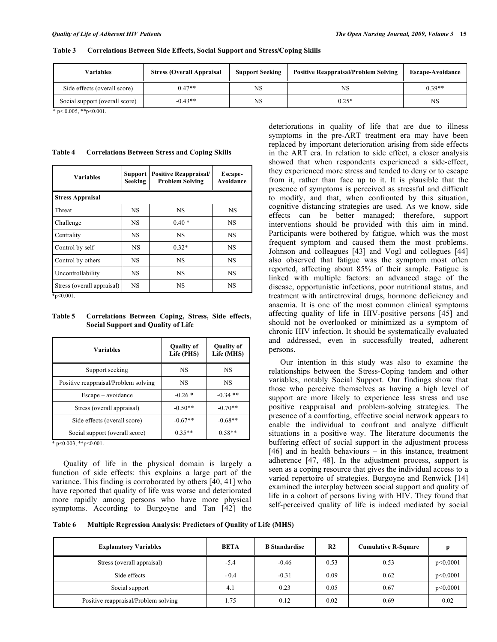#### **Table 3 Correlations Between Side Effects, Social Support and Stress/Coping Skills**

| <b>Variables</b>               | <b>Stress (Overall Appraisal</b> | <b>Support Seeking</b> | <b>Positive Reappraisal/Problem Solving</b> | <b>Escape-Avoidance</b> |
|--------------------------------|----------------------------------|------------------------|---------------------------------------------|-------------------------|
| Side effects (overall score)   | $0.47**$                         | NS                     | NS                                          | $0.39**$                |
| Social support (overall score) | $-0.43**$                        | NS                     | $0.25*$                                     | <b>NS</b>               |

 $*$  p< 0.005, \*\*p<0.001.

#### **Table 4 Correlations Between Stress and Coping Skills**

| <b>Variables</b>           | Support<br>Seeking | <b>Positive Reappraisal/</b><br><b>Problem Solving</b> | Escape-<br>Avoidance |  |
|----------------------------|--------------------|--------------------------------------------------------|----------------------|--|
| <b>Stress Appraisal</b>    |                    |                                                        |                      |  |
| Threat                     | <b>NS</b>          | <b>NS</b>                                              | <b>NS</b>            |  |
| Challenge                  | <b>NS</b>          | $0.40*$                                                | <b>NS</b>            |  |
| Centrality                 | <b>NS</b>          | <b>NS</b>                                              | <b>NS</b>            |  |
| Control by self            | <b>NS</b>          | $0.32*$                                                | <b>NS</b>            |  |
| Control by others          | <b>NS</b>          | <b>NS</b>                                              | <b>NS</b>            |  |
| Uncontrollability          | <b>NS</b>          | <b>NS</b>                                              | <b>NS</b>            |  |
| Stress (overall appraisal) | <b>NS</b>          | <b>NS</b>                                              | NS                   |  |

 $*p<0.001$ .

### **Table 5 Correlations Between Coping, Stress, Side effects, Social Support and Quality of Life**

| <b>Variables</b>                     | <b>Quality of</b><br>Life (PHS) | <b>Quality of</b><br>Life (MHS) |  |
|--------------------------------------|---------------------------------|---------------------------------|--|
| Support seeking                      | <b>NS</b>                       | <b>NS</b>                       |  |
| Positive reappraisal/Problem solving | <b>NS</b>                       | <b>NS</b>                       |  |
| $Escale - avoidance$                 | $-0.26*$                        | $-0.34$ **                      |  |
| Stress (overall appraisal)           | $-0.50**$                       | $-0.70**$                       |  |
| Side effects (overall score)         | $-0.67**$                       | $-0.68**$                       |  |
| Social support (overall score)       | $0.35**$                        | $0.58**$                        |  |

 $*$  p<0.003,  $*$ <sup>\*</sup>p<0.001.

 Quality of life in the physical domain is largely a function of side effects: this explains a large part of the variance. This finding is corroborated by others [40, 41] who have reported that quality of life was worse and deteriorated more rapidly among persons who have more physical symptoms. According to Burgoyne and Tan [42] the

deteriorations in quality of life that are due to illness symptoms in the pre-ART treatment era may have been replaced by important deterioration arising from side effects in the ART era. In relation to side effect, a closer analysis showed that when respondents experienced a side-effect, they experienced more stress and tended to deny or to escape from it, rather than face up to it. It is plausible that the presence of symptoms is perceived as stressful and difficult to modify, and that, when confronted by this situation, cognitive distancing strategies are used. As we know, side effects can be better managed; therefore, support interventions should be provided with this aim in mind. Participants were bothered by fatigue, which was the most frequent symptom and caused them the most problems. Johnson and colleagues [43] and Vogl and collegues [44] also observed that fatigue was the symptom most often reported, affecting about 85% of their sample. Fatigue is linked with multiple factors: an advanced stage of the disease, opportunistic infections, poor nutritional status, and treatment with antiretroviral drugs, hormone deficiency and anaemia. It is one of the most common clinical symptoms affecting quality of life in HIV-positive persons [45] and should not be overlooked or minimized as a symptom of chronic HIV infection. It should be systematically evaluated and addressed, even in successfully treated, adherent persons.

 Our intention in this study was also to examine the relationships between the Stress-Coping tandem and other variables, notably Social Support. Our findings show that those who perceive themselves as having a high level of support are more likely to experience less stress and use positive reappraisal and problem-solving strategies. The presence of a comforting, effective social network appears to enable the individual to confront and analyze difficult situations in a positive way. The literature documents the buffering effect of social support in the adjustment process [46] and in health behaviours – in this instance, treatment adherence [47, 48]. In the adjustment process, support is seen as a coping resource that gives the individual access to a varied repertoire of strategies. Burgoyne and Renwick [14] examined the interplay between social support and quality of life in a cohort of persons living with HIV. They found that self-perceived quality of life is indeed mediated by social

**Table 6 Multiple Regression Analysis: Predictors of Quality of Life (MHS)** 

| <b>Explanatory Variables</b>         | <b>BETA</b> | <b>B</b> Standardise | R <sub>2</sub> | <b>Cumulative R-Square</b> |          |
|--------------------------------------|-------------|----------------------|----------------|----------------------------|----------|
| Stress (overall appraisal)           | $-5.4$      | $-0.46$              | 0.53           | 0.53                       | p<0.0001 |
| Side effects                         | $-0.4$      | $-0.31$              | 0.09           | 0.62                       | p<0.0001 |
| Social support                       | 4.1         | 0.23                 | 0.05           | 0.67                       | p<0.0001 |
| Positive reappraisal/Problem solving | 1.75        | 0.12                 | 0.02           | 0.69                       | 0.02     |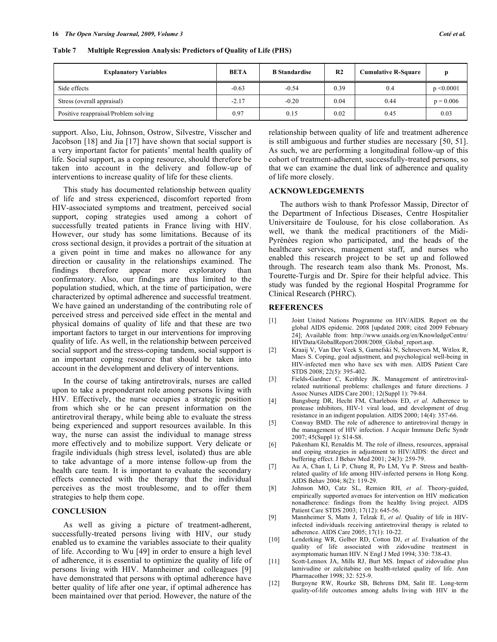| <b>Explanatory Variables</b>         | <b>BETA</b> | <b>B</b> Standardise | R <sub>2</sub> | <b>Cumulative R-Square</b> |                |
|--------------------------------------|-------------|----------------------|----------------|----------------------------|----------------|
| Side effects                         | $-0.63$     | $-0.54$              | 0.39           | 0.4                        | $p \le 0.0001$ |
| Stress (overall appraisal)           | $-2.17$     | $-0.20$              | 0.04           | 0.44                       | $p = 0.006$    |
| Positive reappraisal/Problem solving | 0.97        | 0.15                 | 0.02           | 0.45                       | 0.03           |

#### **Table 7 Multiple Regression Analysis: Predictors of Quality of Life (PHS)**

support. Also, Liu, Johnson, Ostrow, Silvestre, Visscher and Jacobson [18] and Jia [17] have shown that social support is a very important factor for patients' mental health quality of life. Social support, as a coping resource, should therefore be taken into account in the delivery and follow-up of interventions to increase quality of life for these clients.

 This study has documented relationship between quality of life and stress experienced, discomfort reported from HIV-associated symptoms and treatment, perceived social support, coping strategies used among a cohort of successfully treated patients in France living with HIV. However, our study has some limitations. Because of its cross sectional design, it provides a portrait of the situation at a given point in time and makes no allowance for any direction or causality in the relationships examined. The findings therefore appear more exploratory than confirmatory. Also, our findings are thus limited to the population studied, which, at the time of participation, were characterized by optimal adherence and successful treatment. We have gained an understanding of the contributing role of perceived stress and perceived side effect in the mental and physical domains of quality of life and that these are two important factors to target in our interventions for improving quality of life. As well, in the relationship between perceived social support and the stress-coping tandem, social support is an important coping resource that should be taken into account in the development and delivery of interventions.

 In the course of taking antiretrovirals, nurses are called upon to take a preponderant role among persons living with HIV. Effectively, the nurse occupies a strategic position from which she or he can present information on the antiretroviral therapy, while being able to evaluate the stress being experienced and support resources available. In this way, the nurse can assist the individual to manage stress more effectively and to mobilize support. Very delicate or fragile individuals (high stress level, isolated) thus are able to take advantage of a more intense follow-up from the health care team. It is important to evaluate the secondary effects connected with the therapy that the individual perceives as the most troublesome, and to offer them strategies to help them cope.

#### **CONCLUSION**

 As well as giving a picture of treatment-adherent, successfully-treated persons living with HIV, our study enabled us to examine the variables associate to their quality of life. According to Wu [49] in order to ensure a high level of adherence, it is essential to optimize the quality of life of persons living with HIV. Mannheimer and colleagues [9] have demonstrated that persons with optimal adherence have better quality of life after one year, if optimal adherence has been maintained over that period. However, the nature of the

relationship between quality of life and treatment adherence is still ambiguous and further studies are necessary [50, 51]. As such, we are performing a longitudinal follow-up of this cohort of treatment-adherent, successfully-treated persons, so that we can examine the dual link of adherence and quality of life more closely.

### **ACKNOWLEDGEMENTS**

 The authors wish to thank Professor Massip, Director of the Department of Infectious Diseases, Centre Hospitalier Universitaire de Toulouse, for his close collaboration. As well, we thank the medical practitioners of the Midi-Pyrénées region who participated, and the heads of the healthcare services, management staff, and nurses who enabled this research project to be set up and followed through. The research team also thank Ms. Pronost, Ms. Tourette-Turgis and Dr. Spire for their helpful advice. This study was funded by the regional Hospital Programme for Clinical Research (PHRC).

#### **REFERENCES**

- [1] Joint United Nations Programme on HIV/AIDS. Report on the global AIDS epidemic. 2008 [updated 2008; cited 2009 February 24]; Available from: http://www.unaids.org/en/KnowledgeCentre/ HIVData/GlobalReport/2008/2008\_Global\_report.asp.
- [2] Kraaij V, Van Der Veek S, Garnefski N, Schroevers M, Witlox R, Maes S. Coping, goal adjustment, and psychological well-being in HIV-infected men who have sex with men. AIDS Patient Care STDS 2008; 22(5): 395-402.
- [3] Fields-Gardner C, Keithley JK. Management of antiretroviralrelated nutritional problems: challenges and future directions. J Assoc Nurses AIDS Care 2001; 12(Suppl 1): 79-84.
- [4] Bangsberg DR, Hecht FM, Charlebois ED, *et al*. Adherence to protease inhibitors, HIV-1 viral load, and development of drug resistance in an indigent population. AIDS 2000; 14(4): 357-66.
- [5] Conway BMD. The role of adherence to antiretroviral therapy in the management of HIV infection. J Acquir Immune Defic Syndr 2007; 45(Suppl 1): S14-S8.
- [6] Pakenham KI, Renaldis M. The role of illness, resources, appraisal and coping strategies in adjustment to HIV/AIDS: the direct and buffering effect. J Behav Med 2001; 24(3): 259-79.
- [7] Au A, Chan I, Li P, Chung R, Po LM, Yu P. Stress and healthrelated quality of life among HIV-infected persons in Hong Kong. AIDS Behav 2004; 8(2): 119-29.
- [8] Johnson MO, Catz SL, Remien RH, *et al*. Theory-guided, empirically supported avenues for intervention on HIV medication nonadherence: findings from the healthy living project. AIDS Patient Care STDS 2003; 17(12): 645-56.
- [9] Mannheimer S, Matts J, Telzak E, *et al*. Quality of life in HIVinfected individuals receiving antiretroviral therapy is related to adherence. AIDS Care 2005; 17(1): 10-22.
- [10] Lenderking WR, Gelber RD, Cotton DJ, *et al*. Evaluation of the quality of life associated with zidovudine treatment in asymptomatic human HIV. N Engl J Med 1994; 330: 738-43.
- [11] Scott-Lennox JA, Mills RJ, Burt MS. Impact of zidovudine plus lamivudine or zalcitabine on health-related quality of life. Ann Pharmacother 1998; 32: 525-9.
- [12] Burgoyne RW, Rourke SB, Behrens DM, Salit IE. Long-term quality-of-life outcomes among adults living with HIV in the